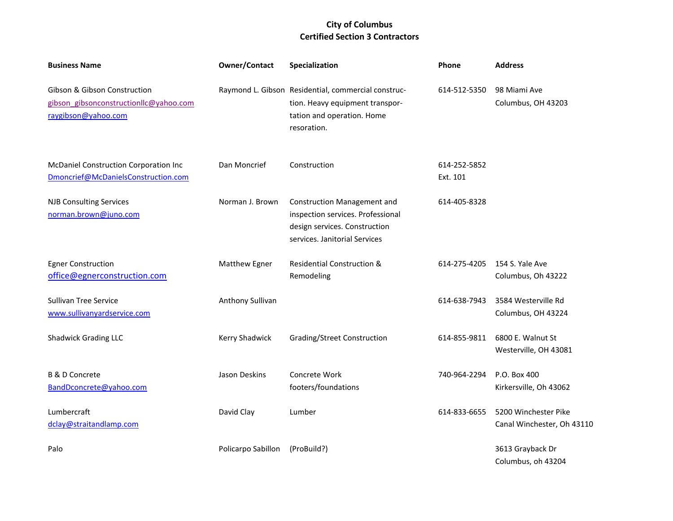| <b>Business Name</b>                                                                          | <b>Owner/Contact</b> | Specialization                                                                                                                            | Phone                    | <b>Address</b>                                     |
|-----------------------------------------------------------------------------------------------|----------------------|-------------------------------------------------------------------------------------------------------------------------------------------|--------------------------|----------------------------------------------------|
| Gibson & Gibson Construction<br>gibson gibsonconstructionllc@yahoo.com<br>raygibson@yahoo.com |                      | Raymond L. Gibson Residential, commercial construc-<br>tion. Heavy equipment transpor-<br>tation and operation. Home<br>resoration.       | 614-512-5350             | 98 Miami Ave<br>Columbus, OH 43203                 |
| McDaniel Construction Corporation Inc<br>Dmoncrief@McDanielsConstruction.com                  | Dan Moncrief         | Construction                                                                                                                              | 614-252-5852<br>Ext. 101 |                                                    |
| <b>NJB Consulting Services</b><br>norman.brown@juno.com                                       | Norman J. Brown      | <b>Construction Management and</b><br>inspection services. Professional<br>design services. Construction<br>services. Janitorial Services | 614-405-8328             |                                                    |
| <b>Egner Construction</b><br>office@egnerconstruction.com                                     | Matthew Egner        | <b>Residential Construction &amp;</b><br>Remodeling                                                                                       | 614-275-4205             | 154 S. Yale Ave<br>Columbus, Oh 43222              |
| <b>Sullivan Tree Service</b><br>www.sullivanyardservice.com                                   | Anthony Sullivan     |                                                                                                                                           | 614-638-7943             | 3584 Westerville Rd<br>Columbus, OH 43224          |
| <b>Shadwick Grading LLC</b>                                                                   | Kerry Shadwick       | Grading/Street Construction                                                                                                               | 614-855-9811             | 6800 E. Walnut St<br>Westerville, OH 43081         |
| <b>B &amp; D Concrete</b><br>BandDconcrete@yahoo.com                                          | Jason Deskins        | Concrete Work<br>footers/foundations                                                                                                      | 740-964-2294             | P.O. Box 400<br>Kirkersville, Oh 43062             |
| Lumbercraft<br>dclay@straitandlamp.com                                                        | David Clay           | Lumber                                                                                                                                    | 614-833-6655             | 5200 Winchester Pike<br>Canal Winchester, Oh 43110 |
| Palo                                                                                          | Policarpo Sabillon   | (ProBuild?)                                                                                                                               |                          | 3613 Grayback Dr<br>Columbus, oh 43204             |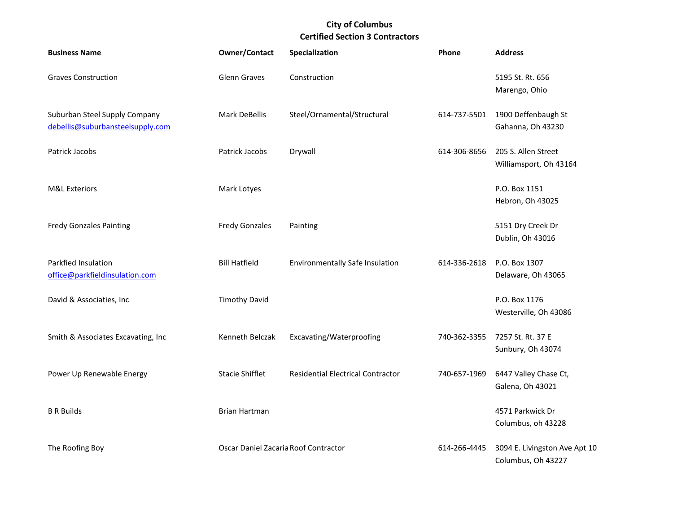| <b>Business Name</b>                                              | <b>Owner/Contact</b>                 | Specialization                           | Phone        | <b>Address</b>                                      |
|-------------------------------------------------------------------|--------------------------------------|------------------------------------------|--------------|-----------------------------------------------------|
| <b>Graves Construction</b>                                        | Glenn Graves                         | Construction                             |              | 5195 St. Rt. 656<br>Marengo, Ohio                   |
| Suburban Steel Supply Company<br>debellis@suburbansteelsupply.com | <b>Mark DeBellis</b>                 | Steel/Ornamental/Structural              | 614-737-5501 | 1900 Deffenbaugh St<br>Gahanna, Oh 43230            |
| Patrick Jacobs                                                    | Patrick Jacobs                       | Drywall                                  | 614-306-8656 | 205 S. Allen Street<br>Williamsport, Oh 43164       |
| <b>M&amp;L Exteriors</b>                                          | Mark Lotyes                          |                                          |              | P.O. Box 1151<br>Hebron, Oh 43025                   |
| <b>Fredy Gonzales Painting</b>                                    | <b>Fredy Gonzales</b>                | Painting                                 |              | 5151 Dry Creek Dr<br>Dublin, Oh 43016               |
| Parkfied Insulation<br>office@parkfieldinsulation.com             | <b>Bill Hatfield</b>                 | <b>Environmentally Safe Insulation</b>   | 614-336-2618 | P.O. Box 1307<br>Delaware, Oh 43065                 |
| David & Associaties, Inc                                          | <b>Timothy David</b>                 |                                          |              | P.O. Box 1176<br>Westerville, Oh 43086              |
| Smith & Associates Excavating, Inc                                | Kenneth Belczak                      | Excavating/Waterproofing                 | 740-362-3355 | 7257 St. Rt. 37 E<br>Sunbury, Oh 43074              |
| Power Up Renewable Energy                                         | <b>Stacie Shifflet</b>               | <b>Residential Electrical Contractor</b> | 740-657-1969 | 6447 Valley Chase Ct,<br>Galena, Oh 43021           |
| <b>B R Builds</b>                                                 | <b>Brian Hartman</b>                 |                                          |              | 4571 Parkwick Dr<br>Columbus, oh 43228              |
| The Roofing Boy                                                   | Oscar Daniel Zacaria Roof Contractor |                                          | 614-266-4445 | 3094 E. Livingston Ave Apt 10<br>Columbus, Oh 43227 |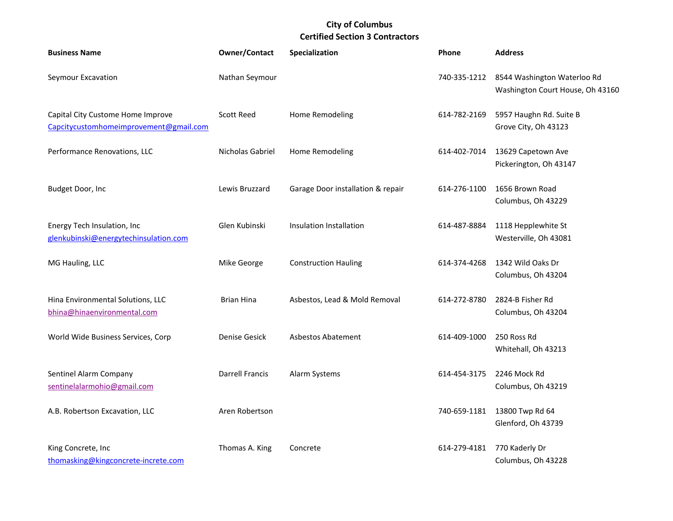| <b>Business Name</b>                                                        | <b>Owner/Contact</b>   | Specialization                    | <b>Phone</b> | <b>Address</b>                                                  |
|-----------------------------------------------------------------------------|------------------------|-----------------------------------|--------------|-----------------------------------------------------------------|
| Seymour Excavation                                                          | Nathan Seymour         |                                   | 740-335-1212 | 8544 Washington Waterloo Rd<br>Washington Court House, Oh 43160 |
| Capital City Custome Home Improve<br>Capcitycustomhomeimprovement@gmail.com | <b>Scott Reed</b>      | Home Remodeling                   | 614-782-2169 | 5957 Haughn Rd. Suite B<br>Grove City, Oh 43123                 |
| Performance Renovations, LLC                                                | Nicholas Gabriel       | Home Remodeling                   | 614-402-7014 | 13629 Capetown Ave<br>Pickerington, Oh 43147                    |
| Budget Door, Inc                                                            | Lewis Bruzzard         | Garage Door installation & repair | 614-276-1100 | 1656 Brown Road<br>Columbus, Oh 43229                           |
| Energy Tech Insulation, Inc<br>glenkubinski@energytechinsulation.com        | Glen Kubinski          | Insulation Installation           | 614-487-8884 | 1118 Hepplewhite St<br>Westerville, Oh 43081                    |
| MG Hauling, LLC                                                             | Mike George            | <b>Construction Hauling</b>       | 614-374-4268 | 1342 Wild Oaks Dr<br>Columbus, Oh 43204                         |
| Hina Environmental Solutions, LLC<br>bhina@hinaenvironmental.com            | <b>Brian Hina</b>      | Asbestos, Lead & Mold Removal     | 614-272-8780 | 2824-B Fisher Rd<br>Columbus, Oh 43204                          |
| World Wide Business Services, Corp                                          | Denise Gesick          | <b>Asbestos Abatement</b>         | 614-409-1000 | 250 Ross Rd<br>Whitehall, Oh 43213                              |
| Sentinel Alarm Company<br>sentinelalarmohio@gmail.com                       | <b>Darrell Francis</b> | Alarm Systems                     | 614-454-3175 | 2246 Mock Rd<br>Columbus, Oh 43219                              |
| A.B. Robertson Excavation, LLC                                              | Aren Robertson         |                                   | 740-659-1181 | 13800 Twp Rd 64<br>Glenford, Oh 43739                           |
| King Concrete, Inc<br>thomasking@kingconcrete-increte.com                   | Thomas A. King         | Concrete                          | 614-279-4181 | 770 Kaderly Dr<br>Columbus, Oh 43228                            |